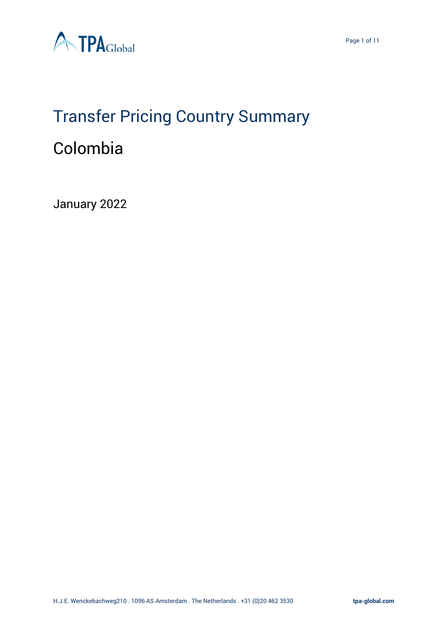

# Transfer Pricing Country Summary Colombia

January 2022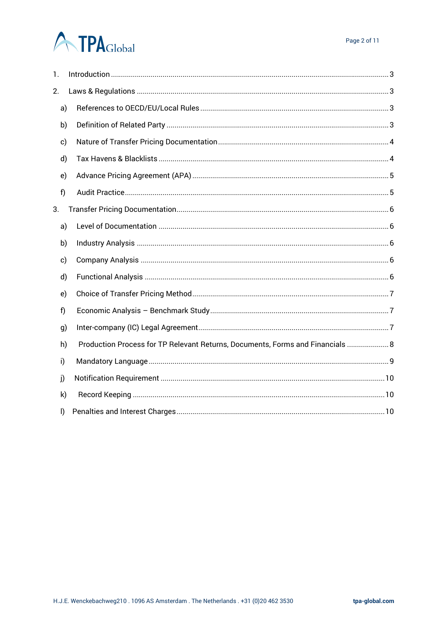# **ATPA**Global

| 1.           |                                                                                |  |  |  |  |  |  |
|--------------|--------------------------------------------------------------------------------|--|--|--|--|--|--|
| 2.           |                                                                                |  |  |  |  |  |  |
| a)           |                                                                                |  |  |  |  |  |  |
| b)           |                                                                                |  |  |  |  |  |  |
| c)           |                                                                                |  |  |  |  |  |  |
| d)           |                                                                                |  |  |  |  |  |  |
| e)           |                                                                                |  |  |  |  |  |  |
| f)           |                                                                                |  |  |  |  |  |  |
| 3.           |                                                                                |  |  |  |  |  |  |
| a)           |                                                                                |  |  |  |  |  |  |
| b)           |                                                                                |  |  |  |  |  |  |
| c)           |                                                                                |  |  |  |  |  |  |
| d)           |                                                                                |  |  |  |  |  |  |
| e)           |                                                                                |  |  |  |  |  |  |
| f)           |                                                                                |  |  |  |  |  |  |
| g)           |                                                                                |  |  |  |  |  |  |
| h)           | Production Process for TP Relevant Returns, Documents, Forms and Financials  8 |  |  |  |  |  |  |
| i)           |                                                                                |  |  |  |  |  |  |
| j)           |                                                                                |  |  |  |  |  |  |
| k)           |                                                                                |  |  |  |  |  |  |
| $\mathsf{I}$ |                                                                                |  |  |  |  |  |  |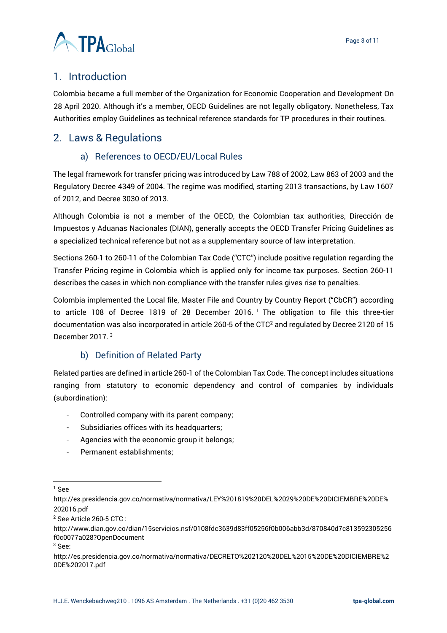

# <span id="page-2-0"></span>1. Introduction

Colombia became a full member of the Organization for Economic Cooperation and Development On 28 April 2020. Although it's a member, OECD Guidelines are not legally obligatory. Nonetheless, Tax Authorities employ Guidelines as technical reference standards for TP procedures in their routines.

# <span id="page-2-2"></span><span id="page-2-1"></span>2. Laws & Regulations

# a) References to OECD/EU/Local Rules

The legal framework for transfer pricing was introduced by Law 788 of 2002, Law 863 of 2003 and the Regulatory Decree 4349 of 2004. The regime was modified, starting 2013 transactions, by Law 1607 of 2012, and Decree 3030 of 2013.

Although Colombia is not a member of the OECD, the Colombian tax authorities, Dirección de Impuestos y Aduanas Nacionales (DIAN), generally accepts the OECD Transfer Pricing Guidelines as a specialized technical reference but not as a supplementary source of law interpretation.

Sections 260-1 to 260-11 of the Colombian Tax Code ("CTC") include positive regulation regarding the Transfer Pricing regime in Colombia which is applied only for income tax purposes. Section 260-11 describes the cases in which non-compliance with the transfer rules gives rise to penalties.

Colombia implemented the Local file, Master File and Country by Country Report ("CbCR") according to article 108 of Decree 1819 of 28 December 2016.<sup>1</sup> The obligation to file this three-tier documentation was also incorporated in article 260-5 of the CTC<sup>2</sup> and regulated by Decree 2120 of 15 December 2017. 3

# b) Definition of Related Party

<span id="page-2-3"></span>Related parties are defined in article 260-1 of the Colombian Tax Code. The concept includes situations ranging from statutory to economic dependency and control of companies by individuals (subordination):

- Controlled company with its parent company;
- Subsidiaries offices with its headquarters;
- Agencies with the economic group it belongs;
- Permanent establishments;

<sup>3</sup> See:

 $1$  See

http://es.presidencia.gov.co/normativa/normativa/LEY%201819%20DEL%2029%20DE%20DICIEMBRE%20DE% 202016.pdf

<sup>2</sup> See Article 260-5 CTC :

http://www.dian.gov.co/dian/15servicios.nsf/0108fdc3639d83ff05256f0b006abb3d/870840d7c813592305256 f0c0077a028?OpenDocument

http://es.presidencia.gov.co/normativa/normativa/DECRETO%202120%20DEL%2015%20DE%20DICIEMBRE%2 0DE%202017.pdf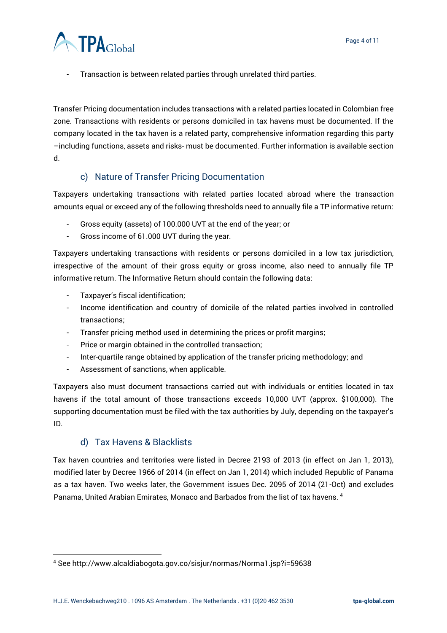

Transaction is between related parties through unrelated third parties.

Transfer Pricing documentation includes transactions with a related parties located in Colombian free zone. Transactions with residents or persons domiciled in tax havens must be documented. If the company located in the tax haven is a related party, comprehensive information regarding this party –including functions, assets and risks- must be documented. Further information is available section d.

#### c) Nature of Transfer Pricing Documentation

<span id="page-3-0"></span>Taxpayers undertaking transactions with related parties located abroad where the transaction amounts equal or exceed any of the following thresholds need to annually file a TP informative return:

- Gross equity (assets) of 100.000 UVT at the end of the year; or
- Gross income of 61.000 UVT during the year.

Taxpayers undertaking transactions with residents or persons domiciled in a low tax jurisdiction, irrespective of the amount of their gross equity or gross income, also need to annually file TP informative return. The Informative Return should contain the following data:

- Taxpayer's fiscal identification;
- Income identification and country of domicile of the related parties involved in controlled transactions;
- Transfer pricing method used in determining the prices or profit margins;
- Price or margin obtained in the controlled transaction;
- Inter-quartile range obtained by application of the transfer pricing methodology; and
- Assessment of sanctions, when applicable.

Taxpayers also must document transactions carried out with individuals or entities located in tax havens if the total amount of those transactions exceeds 10,000 UVT (approx. \$100,000). The supporting documentation must be filed with the tax authorities by July, depending on the taxpayer's ID.

#### d) Tax Havens & Blacklists

<span id="page-3-1"></span>Tax haven countries and territories were listed in Decree 2193 of 2013 (in effect on Jan 1, 2013), modified later by Decree 1966 of 2014 (in effect on Jan 1, 2014) which included Republic of Panama as a tax haven. Two weeks later, the Government issues Dec. 2095 of 2014 (21-Oct) and excludes Panama, United Arabian Emirates, Monaco and Barbados from the list of tax havens. <sup>4</sup>

<sup>4</sup> See http://www.alcaldiabogota.gov.co/sisjur/normas/Norma1.jsp?i=59638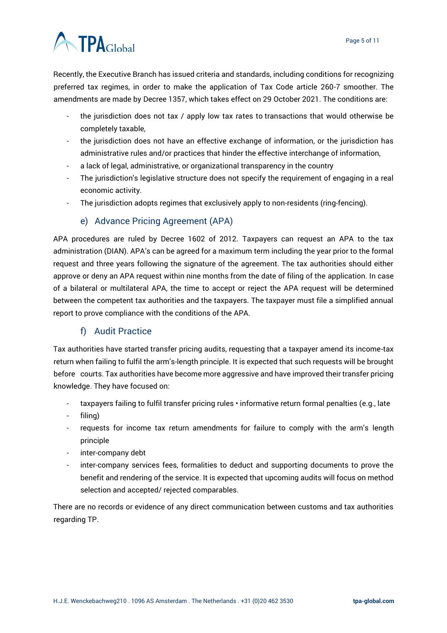# **ATPA**Global

Recently, the Executive Branch has issued criteria and standards, including conditions for recognizing preferred tax regimes, in order to make the application of Tax Code article 260-7 smoother. The amendments are made by Decree 1357, which takes effect on 29 October 2021. The conditions are:

- the jurisdiction does not tax / apply low tax rates to transactions that would otherwise be completely taxable,
- the jurisdiction does not have an effective exchange of information, or the jurisdiction has administrative rules and/or practices that hinder the effective interchange of information,
- a lack of legal, administrative, or organizational transparency in the country
- The jurisdiction's legislative structure does not specify the requirement of engaging in a real economic activity.
- The jurisdiction adopts regimes that exclusively apply to non-residents (ring-fencing).

#### e) Advance Pricing Agreement (APA)

<span id="page-4-0"></span>APA procedures are ruled by Decree 1602 of 2012. Taxpayers can request an APA to the tax administration (DIAN). APA's can be agreed for a maximum term including the year prior to the formal request and three years following the signature of the agreement. The tax authorities should either approve or deny an APA request within nine months from the date of filing of the application. In case of a bilateral or multilateral APA, the time to accept or reject the APA request will be determined between the competent tax authorities and the taxpayers. The taxpayer must file a simplified annual report to prove compliance with the conditions of the APA.

# f) Audit Practice

<span id="page-4-1"></span>Tax authorities have started transfer pricing audits, requesting that a taxpayer amend its income-tax return when failing to fulfil the arm's-length principle. It is expected that such requests will be brought before courts. Tax authorities have become more aggressive and have improved their transfer pricing knowledge. They have focused on:

- taxpayers failing to fulfil transfer pricing rules · informative return formal penalties (e.g., late
- filing)
- requests for income tax return amendments for failure to comply with the arm's length principle
- inter-company debt
- inter-company services fees, formalities to deduct and supporting documents to prove the benefit and rendering of the service. It is expected that upcoming audits will focus on method selection and accepted/ rejected comparables.

There are no records or evidence of any direct communication between customs and tax authorities regarding TP.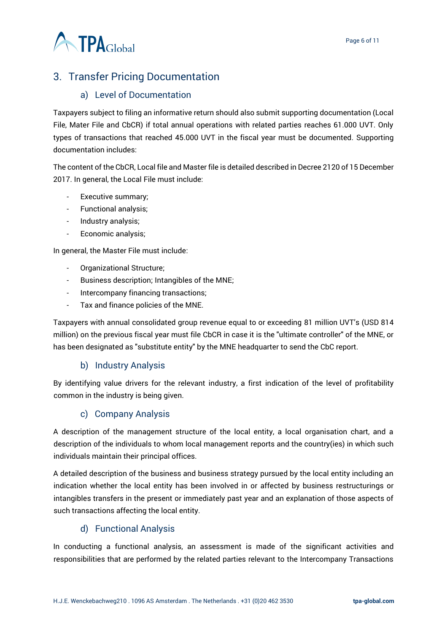

# <span id="page-5-0"></span>3. Transfer Pricing Documentation

#### a) Level of Documentation

<span id="page-5-1"></span>Taxpayers subject to filing an informative return should also submit supporting documentation (Local File, Mater File and CbCR) if total annual operations with related parties reaches 61.000 UVT. Only types of transactions that reached 45.000 UVT in the fiscal year must be documented. Supporting documentation includes:

The content of the CbCR, Local file and Master file is detailed described in Decree 2120 of 15 December 2017. In general, the Local File must include:

- Executive summary;
- Functional analysis;
- Industry analysis;
- Economic analysis;

In general, the Master File must include:

- Organizational Structure;
- Business description; Intangibles of the MNE;
- Intercompany financing transactions;
- Tax and finance policies of the MNE.

Taxpayers with annual consolidated group revenue equal to or exceeding 81 million UVT's (USD 814 million) on the previous fiscal year must file CbCR in case it is the "ultimate controller" of the MNE, or has been designated as "substitute entity" by the MNE headquarter to send the CbC report.

#### b) Industry Analysis

<span id="page-5-2"></span>By identifying value drivers for the relevant industry, a first indication of the level of profitability common in the industry is being given.

#### c) Company Analysis

<span id="page-5-3"></span>A description of the management structure of the local entity, a local organisation chart, and a description of the individuals to whom local management reports and the country(ies) in which such individuals maintain their principal offices.

A detailed description of the business and business strategy pursued by the local entity including an indication whether the local entity has been involved in or affected by business restructurings or intangibles transfers in the present or immediately past year and an explanation of those aspects of such transactions affecting the local entity.

#### d) Functional Analysis

<span id="page-5-4"></span>In conducting a functional analysis, an assessment is made of the significant activities and responsibilities that are performed by the related parties relevant to the Intercompany Transactions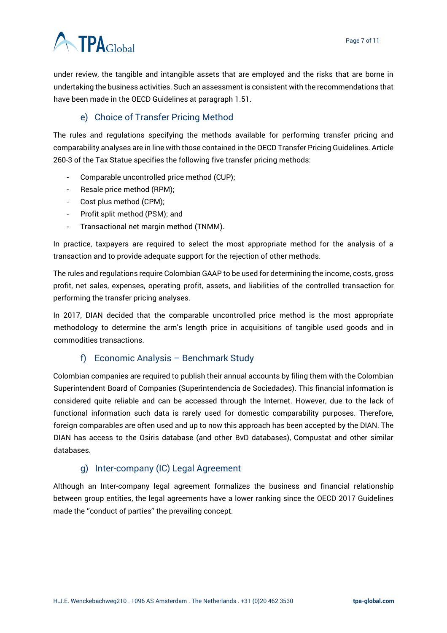



under review, the tangible and intangible assets that are employed and the risks that are borne in undertaking the business activities. Such an assessment is consistent with the recommendations that have been made in the OECD Guidelines at paragraph 1.51.

# e) Choice of Transfer Pricing Method

<span id="page-6-0"></span>The rules and regulations specifying the methods available for performing transfer pricing and comparability analyses are in line with those contained in the OECD Transfer Pricing Guidelines. Article 260-3 of the Tax Statue specifies the following five transfer pricing methods:

- Comparable uncontrolled price method (CUP);
- Resale price method (RPM);
- Cost plus method (CPM);
- Profit split method (PSM); and
- Transactional net margin method (TNMM).

In practice, taxpayers are required to select the most appropriate method for the analysis of a transaction and to provide adequate support for the rejection of other methods.

The rules and regulations require Colombian GAAP to be used for determining the income, costs, gross profit, net sales, expenses, operating profit, assets, and liabilities of the controlled transaction for performing the transfer pricing analyses.

In 2017, DIAN decided that the comparable uncontrolled price method is the most appropriate methodology to determine the arm's length price in acquisitions of tangible used goods and in commodities transactions.

#### f) Economic Analysis – Benchmark Study

<span id="page-6-1"></span>Colombian companies are required to publish their annual accounts by filing them with the Colombian Superintendent Board of Companies (Superintendencia de Sociedades). This financial information is considered quite reliable and can be accessed through the Internet. However, due to the lack of functional information such data is rarely used for domestic comparability purposes. Therefore, foreign comparables are often used and up to now this approach has been accepted by the DIAN. The DIAN has access to the Osiris database (and other BvD databases), Compustat and other similar databases.

# g) Inter-company (IC) Legal Agreement

<span id="page-6-2"></span>Although an Inter-company legal agreement formalizes the business and financial relationship between group entities, the legal agreements have a lower ranking since the OECD 2017 Guidelines made the ''conduct of parties'' the prevailing concept.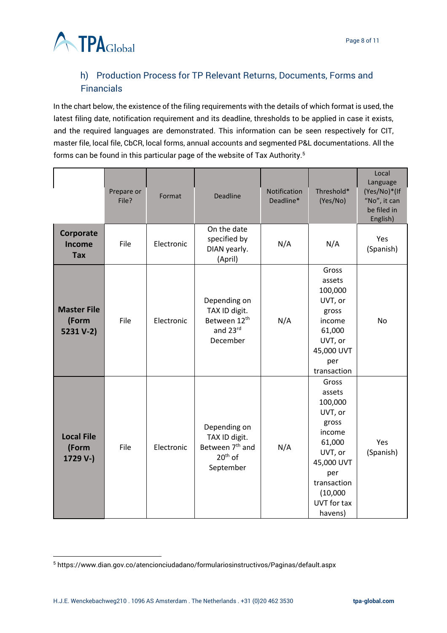

# <span id="page-7-0"></span>h) Production Process for TP Relevant Returns, Documents, Forms and Financials

In the chart below, the existence of the filing requirements with the details of which format is used, the latest filing date, notification requirement and its deadline, thresholds to be applied in case it exists, and the required languages are demonstrated. This information can be seen respectively for CIT, master file, local file, CbCR, local forms, annual accounts and segmented P&L documentations. All the forms can be found in this particular page of the website of Tax Authority.<sup>5</sup>

|                                          | Prepare or<br>File? | Format     | <b>Deadline</b>                                                                        | Notification<br>Deadline* | Threshold*<br>(Yes/No)                                                                                                                                  | Local<br>Language<br>(Yes/No)*(If<br>"No", it can<br>be filed in<br>English) |
|------------------------------------------|---------------------|------------|----------------------------------------------------------------------------------------|---------------------------|---------------------------------------------------------------------------------------------------------------------------------------------------------|------------------------------------------------------------------------------|
| Corporate<br>Income<br><b>Tax</b>        | File                | Electronic | On the date<br>specified by<br>DIAN yearly.<br>(April)                                 | N/A                       | N/A                                                                                                                                                     | Yes<br>(Spanish)                                                             |
| <b>Master File</b><br>(Form<br>5231 V-2) | File                | Electronic | Depending on<br>TAX ID digit.<br>Between 12 <sup>th</sup><br>and 23rd<br>December      | N/A                       | Gross<br>assets<br>100,000<br>UVT, or<br>gross<br>income<br>61,000<br>UVT, or<br>45,000 UVT<br>per<br>transaction                                       | <b>No</b>                                                                    |
| <b>Local File</b><br>(Form<br>1729 V-)   | File                | Electronic | Depending on<br>TAX ID digit.<br>Between 7 <sup>th</sup> and<br>$20th$ of<br>September | N/A                       | Gross<br>assets<br>100,000<br>UVT, or<br>gross<br>income<br>61,000<br>UVT, or<br>45,000 UVT<br>per<br>transaction<br>(10,000)<br>UVT for tax<br>havens) | Yes<br>(Spanish)                                                             |

<sup>5</sup> https://www.dian.gov.co/atencionciudadano/formulariosinstructivos/Paginas/default.aspx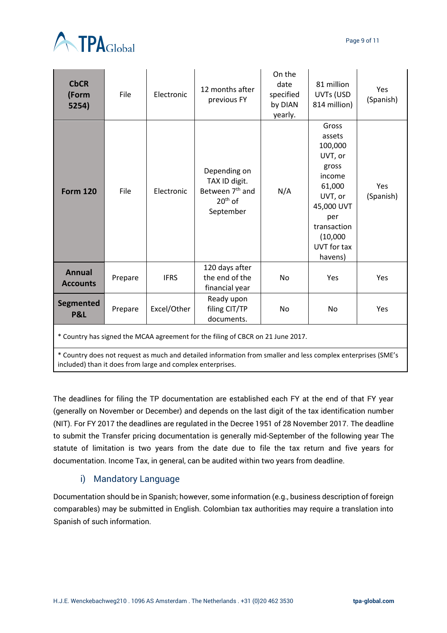

| <b>CbCR</b><br>(Form<br>5254)                                                   | File    | Electronic  | 12 months after<br>previous FY                                                         | On the<br>date<br>specified<br>by DIAN<br>yearly. | 81 million<br>UVTs (USD<br>814 million)                                                                                                                 | Yes<br>(Spanish)        |  |  |  |  |
|---------------------------------------------------------------------------------|---------|-------------|----------------------------------------------------------------------------------------|---------------------------------------------------|---------------------------------------------------------------------------------------------------------------------------------------------------------|-------------------------|--|--|--|--|
| <b>Form 120</b>                                                                 | File    | Electronic  | Depending on<br>TAX ID digit.<br>Between 7 <sup>th</sup> and<br>$20th$ of<br>September | N/A                                               | Gross<br>assets<br>100,000<br>UVT, or<br>gross<br>income<br>61,000<br>UVT, or<br>45,000 UVT<br>per<br>transaction<br>(10,000)<br>UVT for tax<br>havens) | <b>Yes</b><br>(Spanish) |  |  |  |  |
| <b>Annual</b><br><b>Accounts</b>                                                | Prepare | <b>IFRS</b> | 120 days after<br>the end of the<br>financial year                                     | <b>No</b>                                         | Yes                                                                                                                                                     | Yes                     |  |  |  |  |
| Segmented<br><b>P&amp;L</b>                                                     | Prepare | Excel/Other | Ready upon<br>filing CIT/TP<br>documents.                                              | No                                                | No                                                                                                                                                      | Yes                     |  |  |  |  |
| * Country has signed the MCAA agreement for the filing of CBCR on 21 June 2017. |         |             |                                                                                        |                                                   |                                                                                                                                                         |                         |  |  |  |  |

\* Country does not request as much and detailed information from smaller and less complex enterprises (SME's included) than it does from large and complex enterprises.

The deadlines for filing the TP documentation are established each FY at the end of that FY year (generally on November or December) and depends on the last digit of the tax identification number (NIT). For FY 2017 the deadlines are regulated in the Decree 1951 of 28 November 2017. The deadline to submit the Transfer pricing documentation is generally mid-September of the following year The statute of limitation is two years from the date due to file the tax return and five years for documentation. Income Tax, in general, can be audited within two years from deadline.

# i) Mandatory Language

<span id="page-8-0"></span>Documentation should be in Spanish; however, some information (e.g., business description of foreign comparables) may be submitted in English. Colombian tax authorities may require a translation into Spanish of such information.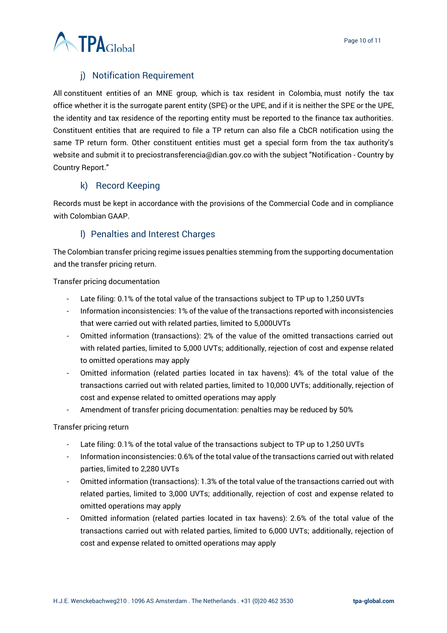

# j) Notification Requirement

<span id="page-9-0"></span>All constituent entities of an MNE group, which is tax resident in Colombia, must notify the tax office whether it is the surrogate parent entity (SPE) or the UPE, and if it is neither the SPE or the UPE, the identity and tax residence of the reporting entity must be reported to the finance tax authorities. Constituent entities that are required to file a TP return can also file a CbCR notification using the same TP return form. Other constituent entities must get a special form from the tax authority's website and submit it to preciostransferencia@dian.gov.co with the subject "Notification - Country by Country Report."

#### k) Record Keeping

<span id="page-9-1"></span>Records must be kept in accordance with the provisions of the Commercial Code and in compliance with Colombian GAAP.

# l) Penalties and Interest Charges

<span id="page-9-2"></span>The Colombian transfer pricing regime issues penalties stemming from the supporting documentation and the transfer pricing return.

Transfer pricing documentation

- Late filing: 0.1% of the total value of the transactions subject to TP up to 1,250 UVTs
- Information inconsistencies: 1% of the value of the transactions reported with inconsistencies that were carried out with related parties, limited to 5,000UVTs
- Omitted information (transactions): 2% of the value of the omitted transactions carried out with related parties, limited to 5,000 UVTs; additionally, rejection of cost and expense related to omitted operations may apply
- Omitted information (related parties located in tax havens): 4% of the total value of the transactions carried out with related parties, limited to 10,000 UVTs; additionally, rejection of cost and expense related to omitted operations may apply
- Amendment of transfer pricing documentation: penalties may be reduced by 50%

#### Transfer pricing return

- Late filing: 0.1% of the total value of the transactions subject to TP up to 1,250 UVTs
- Information inconsistencies: 0.6% of the total value of the transactions carried out with related parties, limited to 2,280 UVTs
- Omitted information (transactions): 1.3% of the total value of the transactions carried out with related parties, limited to 3,000 UVTs; additionally, rejection of cost and expense related to omitted operations may apply
- Omitted information (related parties located in tax havens): 2.6% of the total value of the transactions carried out with related parties, limited to 6,000 UVTs; additionally, rejection of cost and expense related to omitted operations may apply